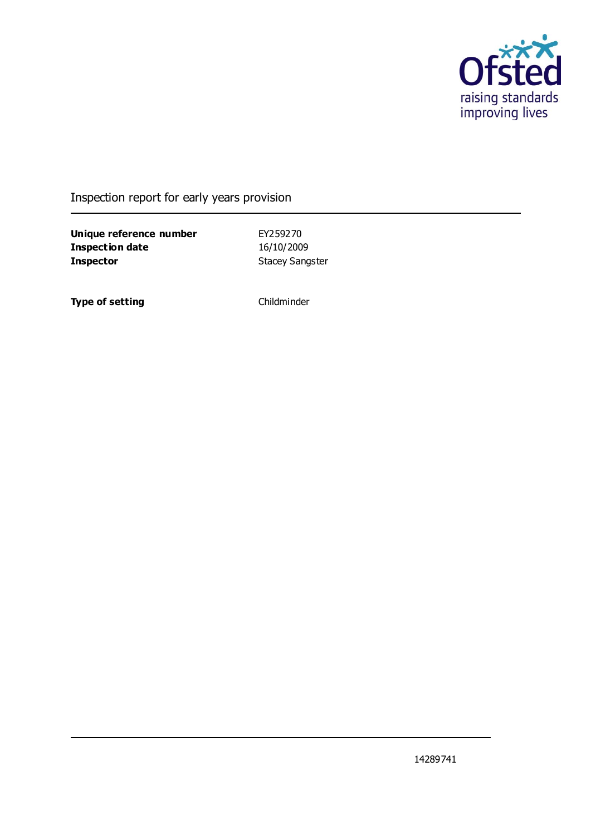

### Inspection report for early years provision

**Unique reference number** EY259270 **Inspection date** 16/10/2009 **Inspector** Stacey Sangster

**Type of setting** Childminder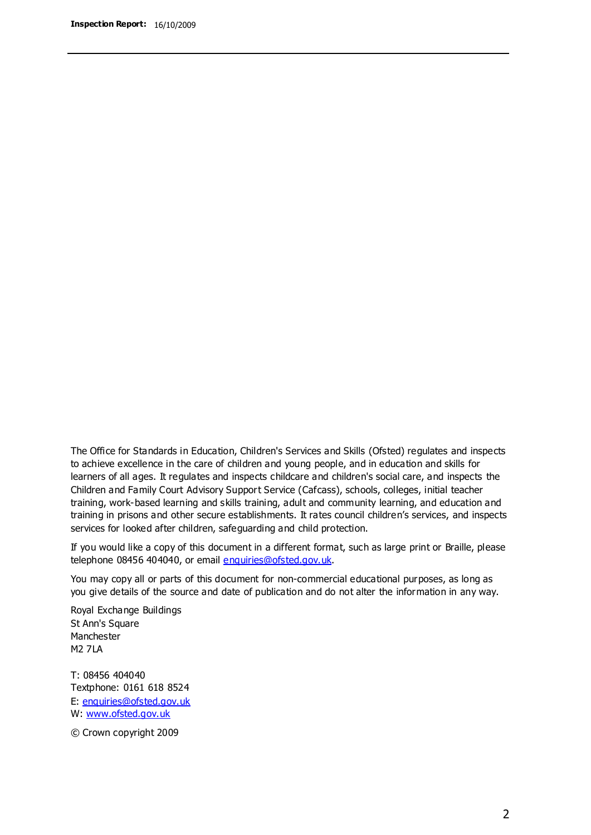The Office for Standards in Education, Children's Services and Skills (Ofsted) regulates and inspects to achieve excellence in the care of children and young people, and in education and skills for learners of all ages. It regulates and inspects childcare and children's social care, and inspects the Children and Family Court Advisory Support Service (Cafcass), schools, colleges, initial teacher training, work-based learning and skills training, adult and community learning, and education and training in prisons and other secure establishments. It rates council children's services, and inspects services for looked after children, safeguarding and child protection.

If you would like a copy of this document in a different format, such as large print or Braille, please telephone 08456 404040, or email enquiries@ofsted.gov.uk.

You may copy all or parts of this document for non-commercial educational purposes, as long as you give details of the source and date of publication and do not alter the information in any way.

Royal Exchange Buildings St Ann's Square Manchester M2 7LA

T: 08456 404040 Textphone: 0161 618 8524 E: enquiries@ofsted.gov.uk W: [www.ofsted.gov.uk](http://www.ofsted.gov.uk/)

© Crown copyright 2009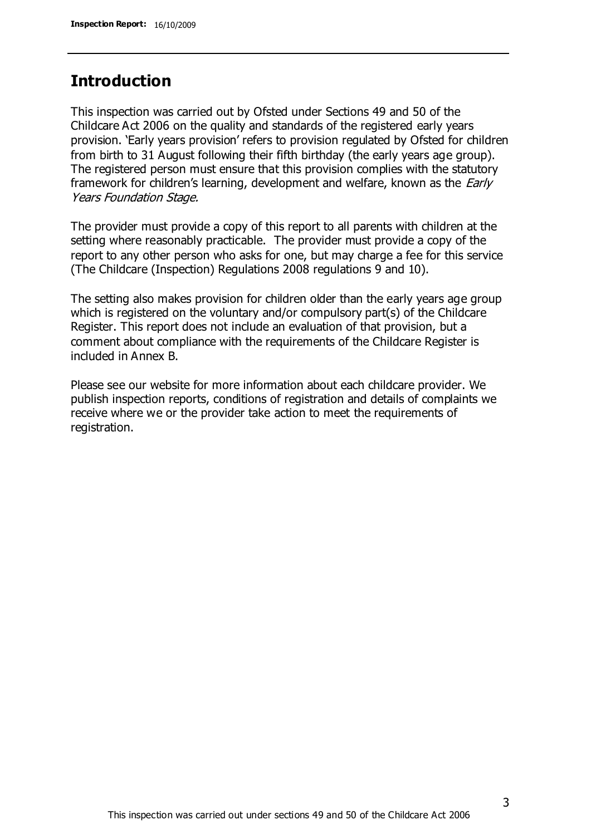### **Introduction**

This inspection was carried out by Ofsted under Sections 49 and 50 of the Childcare Act 2006 on the quality and standards of the registered early years provision. 'Early years provision' refers to provision regulated by Ofsted for children from birth to 31 August following their fifth birthday (the early years age group). The registered person must ensure that this provision complies with the statutory framework for children's learning, development and welfare, known as the *Early* Years Foundation Stage.

The provider must provide a copy of this report to all parents with children at the setting where reasonably practicable. The provider must provide a copy of the report to any other person who asks for one, but may charge a fee for this service (The Childcare (Inspection) Regulations 2008 regulations 9 and 10).

The setting also makes provision for children older than the early years age group which is registered on the voluntary and/or compulsory part(s) of the Childcare Register. This report does not include an evaluation of that provision, but a comment about compliance with the requirements of the Childcare Register is included in Annex B.

Please see our website for more information about each childcare provider. We publish inspection reports, conditions of registration and details of complaints we receive where we or the provider take action to meet the requirements of registration.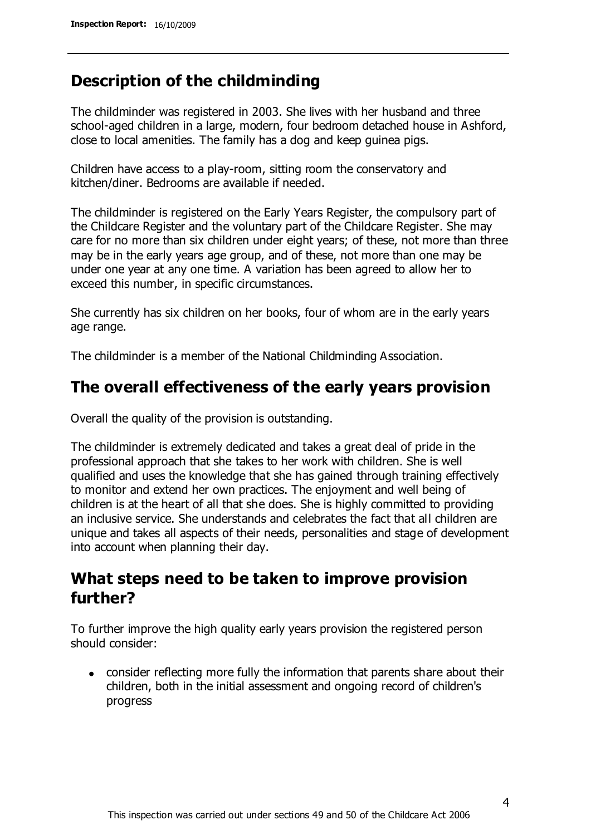## **Description of the childminding**

The childminder was registered in 2003. She lives with her husband and three school-aged children in a large, modern, four bedroom detached house in Ashford, close to local amenities. The family has a dog and keep guinea pigs.

Children have access to a play-room, sitting room the conservatory and kitchen/diner. Bedrooms are available if needed.

The childminder is registered on the Early Years Register, the compulsory part of the Childcare Register and the voluntary part of the Childcare Register. She may care for no more than six children under eight years; of these, not more than three may be in the early years age group, and of these, not more than one may be under one year at any one time. A variation has been agreed to allow her to exceed this number, in specific circumstances.

She currently has six children on her books, four of whom are in the early years age range.

The childminder is a member of the National Childminding Association.

### **The overall effectiveness of the early years provision**

Overall the quality of the provision is outstanding.

The childminder is extremely dedicated and takes a great deal of pride in the professional approach that she takes to her work with children. She is well qualified and uses the knowledge that she has gained through training effectively to monitor and extend her own practices. The enjoyment and well being of children is at the heart of all that she does. She is highly committed to providing an inclusive service. She understands and celebrates the fact that all children are unique and takes all aspects of their needs, personalities and stage of development into account when planning their day.

## **What steps need to be taken to improve provision further?**

To further improve the high quality early years provision the registered person should consider:

consider reflecting more fully the information that parents share about their children, both in the initial assessment and ongoing record of children's progress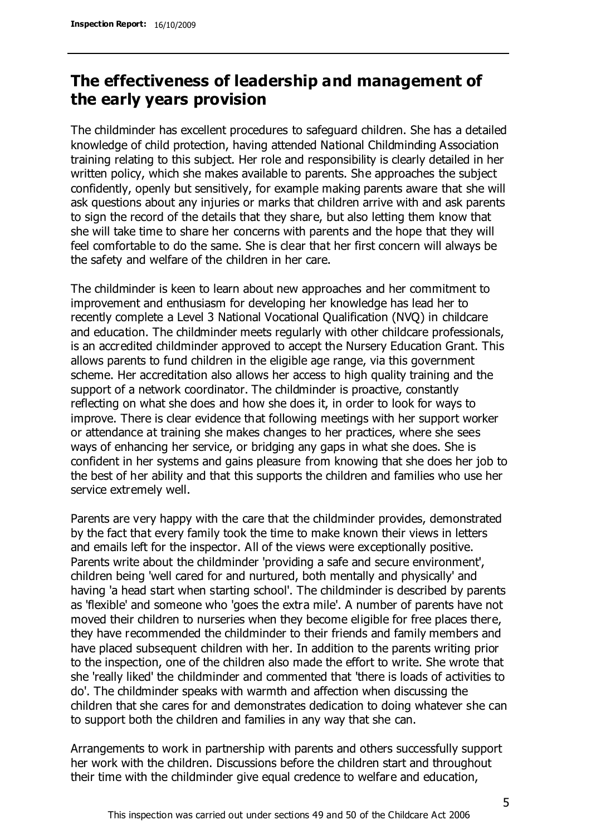## **The effectiveness of leadership and management of the early years provision**

The childminder has excellent procedures to safeguard children. She has a detailed knowledge of child protection, having attended National Childminding Association training relating to this subject. Her role and responsibility is clearly detailed in her written policy, which she makes available to parents. She approaches the subject confidently, openly but sensitively, for example making parents aware that she will ask questions about any injuries or marks that children arrive with and ask parents to sign the record of the details that they share, but also letting them know that she will take time to share her concerns with parents and the hope that they will feel comfortable to do the same. She is clear that her first concern will always be the safety and welfare of the children in her care.

The childminder is keen to learn about new approaches and her commitment to improvement and enthusiasm for developing her knowledge has lead her to recently complete a Level 3 National Vocational Qualification (NVQ) in childcare and education. The childminder meets regularly with other childcare professionals, is an accredited childminder approved to accept the Nursery Education Grant. This allows parents to fund children in the eligible age range, via this government scheme. Her accreditation also allows her access to high quality training and the support of a network coordinator. The childminder is proactive, constantly reflecting on what she does and how she does it, in order to look for ways to improve. There is clear evidence that following meetings with her support worker or attendance at training she makes changes to her practices, where she sees ways of enhancing her service, or bridging any gaps in what she does. She is confident in her systems and gains pleasure from knowing that she does her job to the best of her ability and that this supports the children and families who use her service extremely well.

Parents are very happy with the care that the childminder provides, demonstrated by the fact that every family took the time to make known their views in letters and emails left for the inspector. All of the views were exceptionally positive. Parents write about the childminder 'providing a safe and secure environment', children being 'well cared for and nurtured, both mentally and physically' and having 'a head start when starting school'. The childminder is described by parents as 'flexible' and someone who 'goes the extra mile'. A number of parents have not moved their children to nurseries when they become eligible for free places there, they have recommended the childminder to their friends and family members and have placed subsequent children with her. In addition to the parents writing prior to the inspection, one of the children also made the effort to write. She wrote that she 'really liked' the childminder and commented that 'there is loads of activities to do'. The childminder speaks with warmth and affection when discussing the children that she cares for and demonstrates dedication to doing whatever she can to support both the children and families in any way that she can.

Arrangements to work in partnership with parents and others successfully support her work with the children. Discussions before the children start and throughout their time with the childminder give equal credence to welfare and education,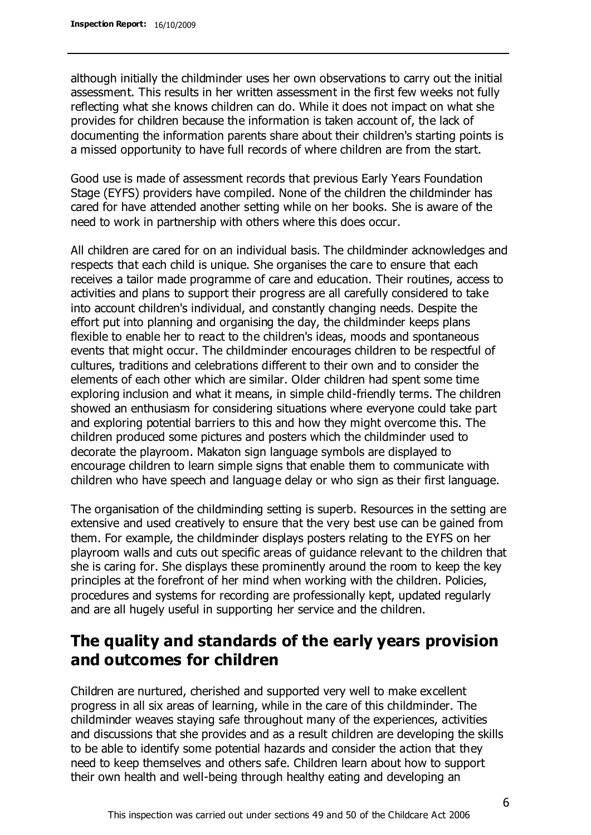although initially the childminder uses her own observations to carry out the initial assessment. This results in her written assessment in the first few weeks not fully reflecting what she knows children can do. While it does not impact on what she provides for children because the information is taken account of, the lack of documenting the information parents share about their children's starting points is a missed opportunity to have full records of where children are from the start.

Good use is made of assessment records that previous Early Years Foundation Stage (EYFS) providers have compiled. None of the children the childminder has cared for have attended another setting while on her books. She is aware of the need to work in partnership with others where this does occur.

All children are cared for on an individual basis. The childminder acknowledges and respects that each child is unique. She organises the care to ensure that each receives a tailor made programme of care and education. Their routines, access to activities and plans to support their progress are all carefully considered to take into account children's individual, and constantly changing needs. Despite the effort put into planning and organising the day, the childminder keeps plans flexible to enable her to react to the children's ideas, moods and spontaneous events that might occur. The childminder encourages children to be respectful of cultures, traditions and celebrations different to their own and to consider the elements of each other which are similar. Older children had spent some time exploring inclusion and what it means, in simple child-friendly terms. The children showed an enthusiasm for considering situations where everyone could take part and exploring potential barriers to this and how they might overcome this. The children produced some pictures and posters which the childminder used to decorate the playroom. Makaton sign language symbols are displayed to encourage children to learn simple signs that enable them to communicate with children who have speech and language delay or who sign as their first language.

The organisation of the childminding setting is superb. Resources in the setting are extensive and used creatively to ensure that the very best use can be gained from them. For example, the childminder displays posters relating to the EYFS on her playroom walls and cuts out specific areas of guidance relevant to the children that she is caring for. She displays these prominently around the room to keep the key principles at the forefront of her mind when working with the children. Policies, procedures and systems for recording are professionally kept, updated regularly and are all hugely useful in supporting her service and the children.

## **The quality and standards of the early years provision and outcomes for children**

Children are nurtured, cherished and supported very well to make excellent progress in all six areas of learning, while in the care of this childminder. The childminder weaves staying safe throughout many of the experiences, activities and discussions that she provides and as a result children are developing the skills to be able to identify some potential hazards and consider the action that they need to keep themselves and others safe. Children learn about how to support their own health and well-being through healthy eating and developing an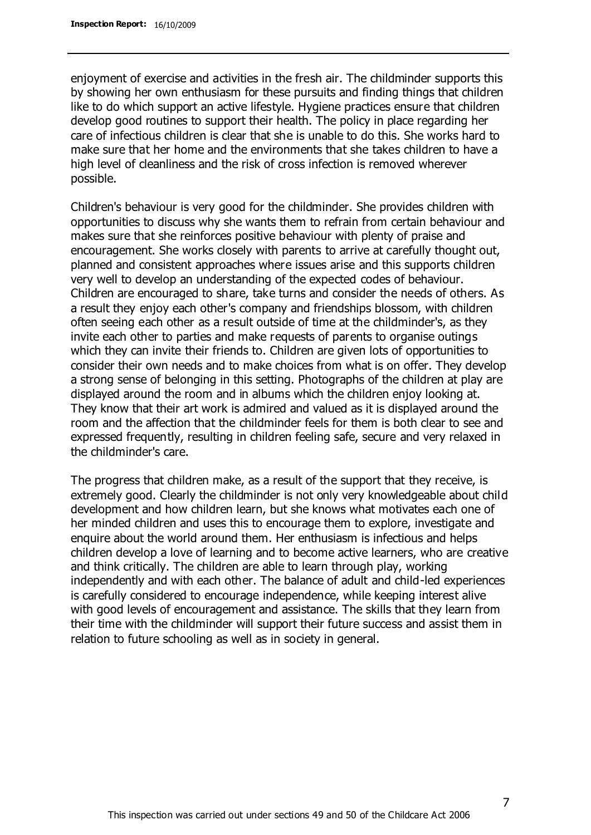enjoyment of exercise and activities in the fresh air. The childminder supports this by showing her own enthusiasm for these pursuits and finding things that children like to do which support an active lifestyle. Hygiene practices ensure that children develop good routines to support their health. The policy in place regarding her care of infectious children is clear that she is unable to do this. She works hard to make sure that her home and the environments that she takes children to have a high level of cleanliness and the risk of cross infection is removed wherever possible.

Children's behaviour is very good for the childminder. She provides children with opportunities to discuss why she wants them to refrain from certain behaviour and makes sure that she reinforces positive behaviour with plenty of praise and encouragement. She works closely with parents to arrive at carefully thought out, planned and consistent approaches where issues arise and this supports children very well to develop an understanding of the expected codes of behaviour. Children are encouraged to share, take turns and consider the needs of others. As a result they enjoy each other's company and friendships blossom, with children often seeing each other as a result outside of time at the childminder's, as they invite each other to parties and make requests of parents to organise outings which they can invite their friends to. Children are given lots of opportunities to consider their own needs and to make choices from what is on offer. They develop a strong sense of belonging in this setting. Photographs of the children at play are displayed around the room and in albums which the children enjoy looking at. They know that their art work is admired and valued as it is displayed around the room and the affection that the childminder feels for them is both clear to see and expressed frequently, resulting in children feeling safe, secure and very relaxed in the childminder's care.

The progress that children make, as a result of the support that they receive, is extremely good. Clearly the childminder is not only very knowledgeable about child development and how children learn, but she knows what motivates each one of her minded children and uses this to encourage them to explore, investigate and enquire about the world around them. Her enthusiasm is infectious and helps children develop a love of learning and to become active learners, who are creative and think critically. The children are able to learn through play, working independently and with each other. The balance of adult and child-led experiences is carefully considered to encourage independence, while keeping interest alive with good levels of encouragement and assistance. The skills that they learn from their time with the childminder will support their future success and assist them in relation to future schooling as well as in society in general.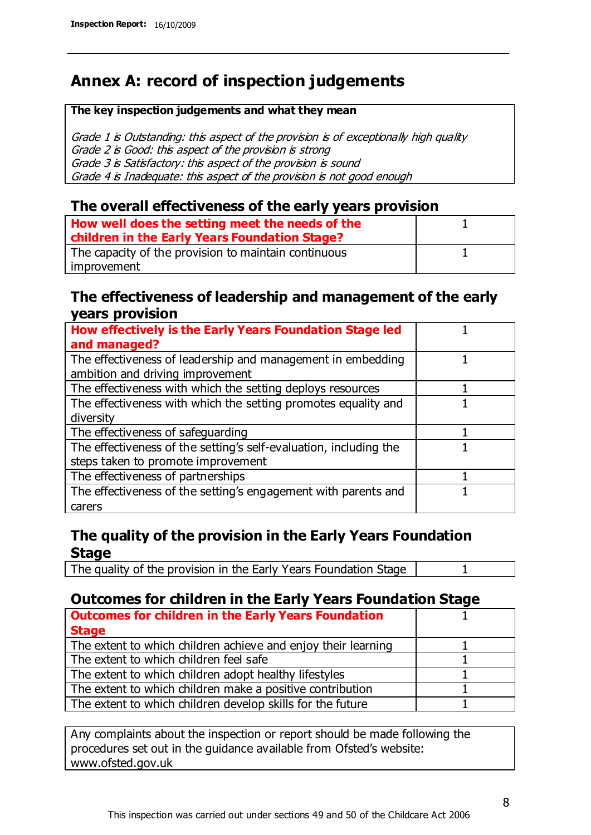## **Annex A: record of inspection judgements**

#### **The key inspection judgements and what they mean**

Grade 1 is Outstanding: this aspect of the provision is of exceptionally high quality Grade 2 is Good: this aspect of the provision is strong Grade 3 is Satisfactory: this aspect of the provision is sound Grade 4 is Inadequate: this aspect of the provision is not good enough

#### **The overall effectiveness of the early years provision**

| How well does the setting meet the needs of the<br>children in the Early Years Foundation Stage? |  |
|--------------------------------------------------------------------------------------------------|--|
| The capacity of the provision to maintain continuous                                             |  |
| improvement                                                                                      |  |

#### **The effectiveness of leadership and management of the early years provision**

| How effectively is the Early Years Foundation Stage led                                         |  |
|-------------------------------------------------------------------------------------------------|--|
| and managed?                                                                                    |  |
| The effectiveness of leadership and management in embedding<br>ambition and driving improvement |  |
| The effectiveness with which the setting deploys resources                                      |  |
| The effectiveness with which the setting promotes equality and                                  |  |
| diversity                                                                                       |  |
| The effectiveness of safeguarding                                                               |  |
| The effectiveness of the setting's self-evaluation, including the                               |  |
| steps taken to promote improvement                                                              |  |
| The effectiveness of partnerships                                                               |  |
| The effectiveness of the setting's engagement with parents and                                  |  |
| carers                                                                                          |  |

### **The quality of the provision in the Early Years Foundation Stage**

The quality of the provision in the Early Years Foundation Stage | 1

### **Outcomes for children in the Early Years Foundation Stage**

| <b>Outcomes for children in the Early Years Foundation</b>    |  |
|---------------------------------------------------------------|--|
| <b>Stage</b>                                                  |  |
| The extent to which children achieve and enjoy their learning |  |
| The extent to which children feel safe                        |  |
| The extent to which children adopt healthy lifestyles         |  |
| The extent to which children make a positive contribution     |  |
| The extent to which children develop skills for the future    |  |

Any complaints about the inspection or report should be made following the procedures set out in the guidance available from Ofsted's website: www.ofsted.gov.uk